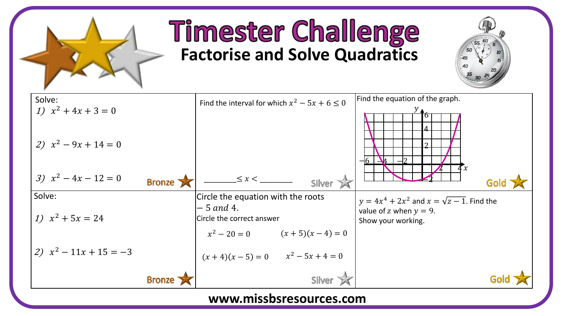

## **Timester Challenge Factorise and Solve Quadratics**